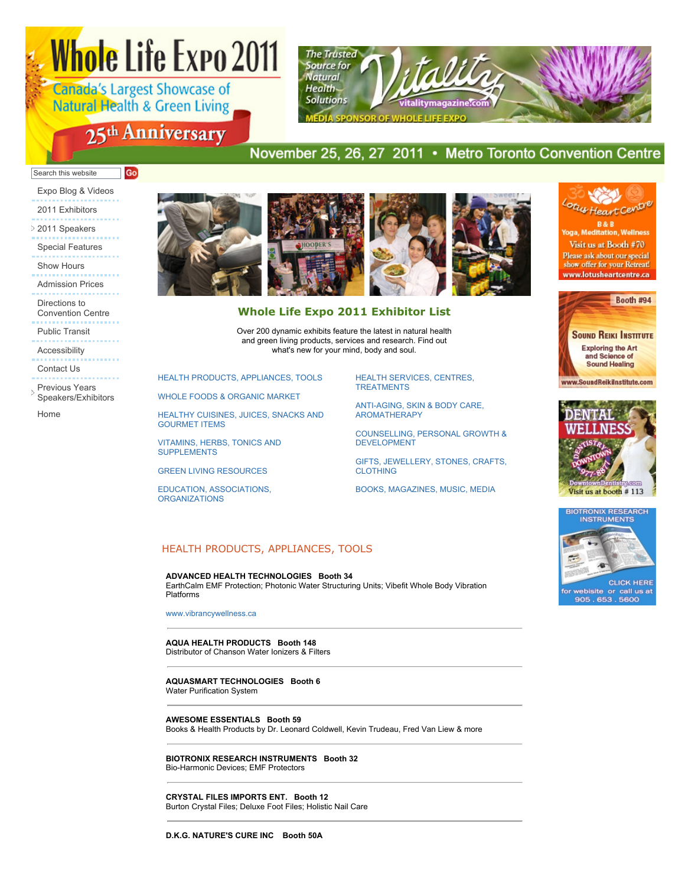# **Whole Life Expo 2011**

**Canada's Largest Showcase of** Natural Health & Green Living

# 25th Anniversary

**The Trusted** Source for **Natural Health Solutions** 

# November 25, 26, 27 2011 • Metro Toronto Convention Centre

#### Search this website Go

- Expo Blog & Videos 2011 Exhibitors
- 2011 Speakers Special Features
- Show Hours
- Admission Prices
- Directions to
- Convention Centre
- Public Transit
- 
- Accessibility
- Contact Us
- Previous Years
- Speakers/Exhibitors

Home









## **Whole Life Expo 2011 Exhibitor List**

Over 200 dynamic exhibits feature the latest in natural health and green living products, services and research. Find out what's new for your mind, body and soul.

HEALTH PRODUCTS, APPLIANCES, TOOLS

WHOLE FOODS & ORGANIC MARKET

HEALTHY CUISINES, JUICES, SNACKS AND GOURMET ITEMS

VITAMINS, HERBS, TONICS AND SUPPLEMENTS

GREEN LIVING RESOURCES

EDUCATION, ASSOCIATIONS, **ORGANIZATIONS** 

HEALTH SERVICES, CENTRES, **TREATMENTS** 

ANTI-AGING, SKIN & BODY CARE, AROMATHERAPY

COUNSELLING, PERSONAL GROWTH & **DEVELOPMENT** 

GIFTS, JEWELLERY, STONES, CRAFTS, **CLOTHING** 

BOOKS, MAGAZINES, MUSIC, MEDIA

## HEALTH PRODUCTS, APPLIANCES, TOOLS

#### **ADVANCED HEALTH TECHNOLOGIES Booth 34**

EarthCalm EMF Protection; Photonic Water Structuring Units; Vibefit Whole Body Vibration Platforms

www.vibrancywellness.ca

**AQUA HEALTH PRODUCTS Booth 148** Distributor of Chanson Water Ionizers & Filters

**AQUASMART TECHNOLOGIES Booth 6** Water Purification System

## **AWESOME ESSENTIALS Booth 59**

Books & Health Products by Dr. Leonard Coldwell, Kevin Trudeau, Fred Van Liew & more

**BIOTRONIX RESEARCH INSTRUMENTS Booth 32** Bio-Harmonic Devices; EMF Protectors

**CRYSTAL FILES IMPORTS ENT. Booth 12** Burton Crystal Files; Deluxe Foot Files; Holistic Nail Care



Visit us at Booth #70 Please ask about our special show offer for your Retreat! www.lotusheartcentre.ca





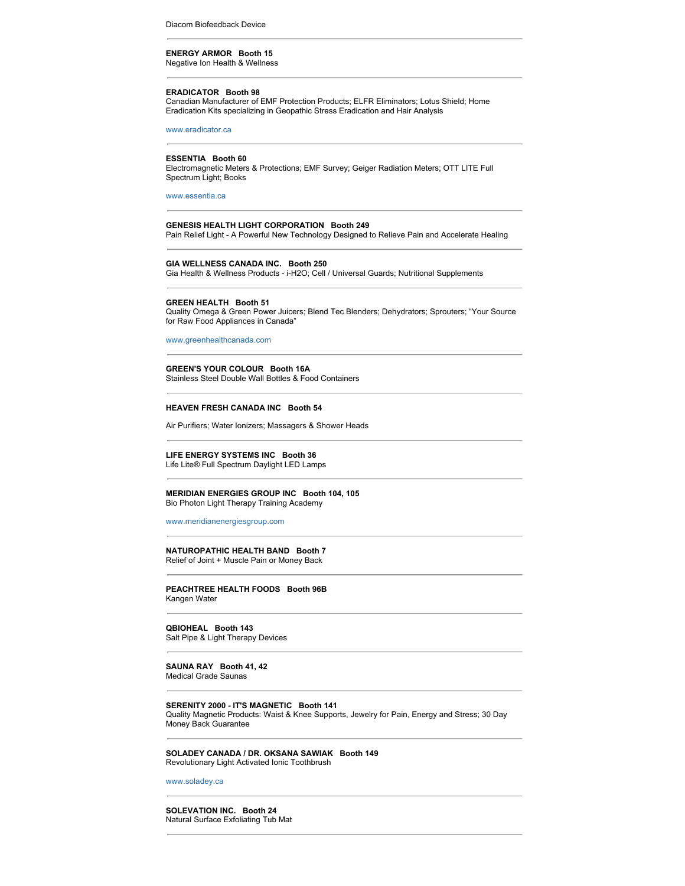Diacom Biofeedback Device

#### **ENERGY ARMOR Booth 15** Negative Ion Health & Wellness

## **ERADICATOR Booth 98**

Canadian Manufacturer of EMF Protection Products; ELFR Eliminators; Lotus Shield; Home Eradication Kits specializing in Geopathic Stress Eradication and Hair Analysis

www.eradicator.ca

#### **ESSENTIA Booth 60**

Electromagnetic Meters & Protections; EMF Survey; Geiger Radiation Meters; OTT LITE Full Spectrum Light; Books

www.essentia.ca

#### **GENESIS HEALTH LIGHT CORPORATION Booth 249** Pain Relief Light - A Powerful New Technology Designed to Relieve Pain and Accelerate Healing

#### **GIA WELLNESS CANADA INC. Booth 250**

Gia Health & Wellness Products - i-H2O; Cell / Universal Guards; Nutritional Supplements

#### **GREEN HEALTH Booth 51**

Quality Omega & Green Power Juicers; Blend Tec Blenders; Dehydrators; Sprouters; "Your Source for Raw Food Appliances in Canada"

www.greenhealthcanada.com

#### **GREEN'S YOUR COLOUR Booth 16A** Stainless Steel Double Wall Bottles & Food Containers

#### **HEAVEN FRESH CANADA INC Booth 54**

Air Purifiers; Water Ionizers; Massagers & Shower Heads

#### **LIFE ENERGY SYSTEMS INC Booth 36**

Life Lite® Full Spectrum Daylight LED Lamps

## **MERIDIAN ENERGIES GROUP INC Booth 104, 105**

Bio Photon Light Therapy Training Academy

www.meridianenergiesgroup.com

#### **NATUROPATHIC HEALTH BAND Booth 7** Relief of Joint + Muscle Pain or Money Back

#### **PEACHTREE HEALTH FOODS Booth 96B** Kangen Water

## **QBIOHEAL Booth 143**

Salt Pipe & Light Therapy Devices

**SAUNA RAY Booth 41, 42** Medical Grade Saunas

#### **SERENITY 2000 - IT'S MAGNETIC Booth 141**

Quality Magnetic Products: Waist & Knee Supports, Jewelry for Pain, Energy and Stress; 30 Day Money Back Guarantee

**SOLADEY CANADA / DR. OKSANA SAWIAK Booth 149** Revolutionary Light Activated Ionic Toothbrush

#### www.soladey.ca

**SOLEVATION INC. Booth 24** Natural Surface Exfoliating Tub Mat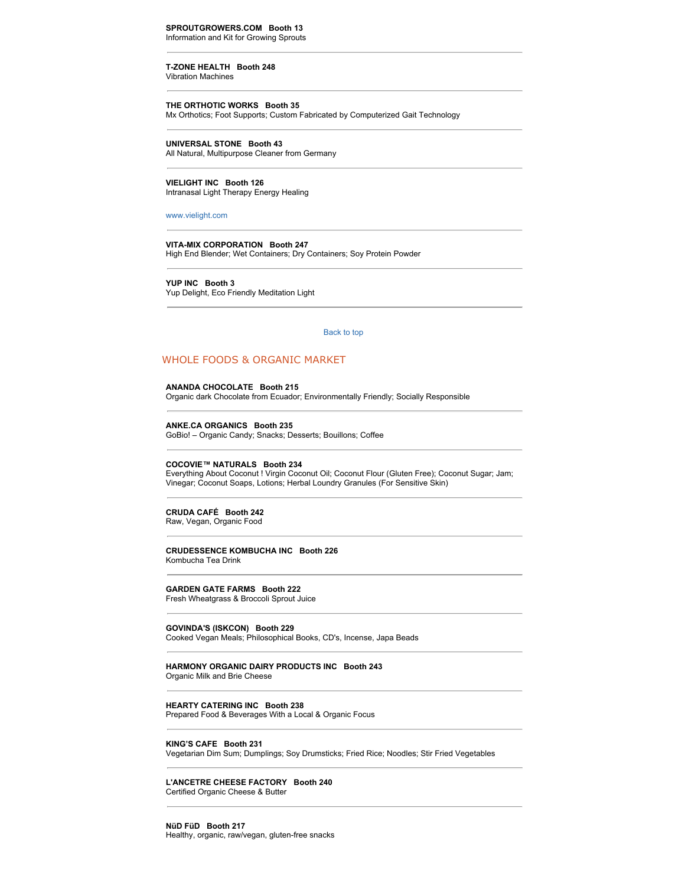**SPROUTGROWERS.COM Booth 13** Information and Kit for Growing Sprouts

**T-ZONE HEALTH Booth 248** Vibration Machines

**THE ORTHOTIC WORKS Booth 35** Mx Orthotics; Foot Supports; Custom Fabricated by Computerized Gait Technology

**UNIVERSAL STONE Booth 43** All Natural, Multipurpose Cleaner from Germany

**VIELIGHT INC Booth 126** Intranasal Light Therapy Energy Healing

www.vielight.com

**VITA-MIX CORPORATION Booth 247** High End Blender; Wet Containers; Dry Containers; Soy Protein Powder

**YUP INC Booth 3** Yup Delight, Eco Friendly Meditation Light

Back to top

## WHOLE FOODS & ORGANIC MARKET

#### **ANANDA CHOCOLATE Booth 215**

Organic dark Chocolate from Ecuador; Environmentally Friendly; Socially Responsible

**ANKE.CA ORGANICS Booth 235**

GoBio! – Organic Candy; Snacks; Desserts; Bouillons; Coffee

#### **COCOVIE™ NATURALS Booth 234**

Everything About Coconut ! Virgin Coconut Oil; Coconut Flour (Gluten Free); Coconut Sugar; Jam; Vinegar; Coconut Soaps, Lotions; Herbal Loundry Granules (For Sensitive Skin)

## **CRUDA CAFÉ Booth 242**

Raw, Vegan, Organic Food

#### **CRUDESSENCE KOMBUCHA INC Booth 226** Kombucha Tea Drink

**GARDEN GATE FARMS Booth 222** Fresh Wheatgrass & Broccoli Sprout Juice

**GOVINDA'S (ISKCON) Booth 229** Cooked Vegan Meals; Philosophical Books, CD's, Incense, Japa Beads

#### **HARMONY ORGANIC DAIRY PRODUCTS INC Booth 243**

Organic Milk and Brie Cheese

**HEARTY CATERING INC Booth 238** Prepared Food & Beverages With a Local & Organic Focus

**KING'S CAFE Booth 231**

Vegetarian Dim Sum; Dumplings; Soy Drumsticks; Fried Rice; Noodles; Stir Fried Vegetables

**L'ANCETRE CHEESE FACTORY Booth 240** Certified Organic Cheese & Butter

**NüD FüD Booth 217** Healthy, organic, raw/vegan, gluten-free snacks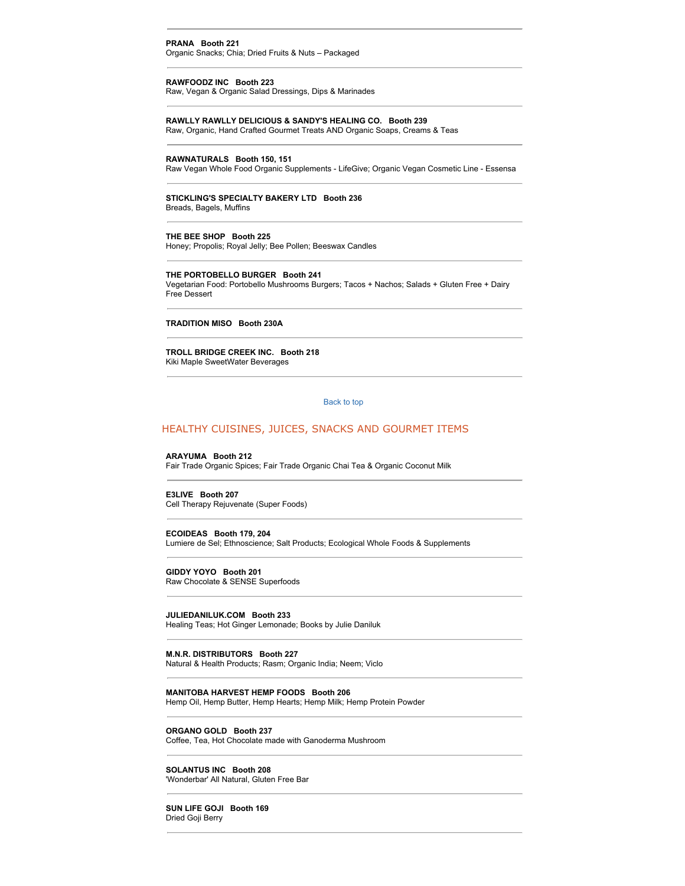#### **PRANA Booth 221**

Organic Snacks; Chia; Dried Fruits & Nuts – Packaged

#### **RAWFOODZ INC Booth 223**

Raw, Vegan & Organic Salad Dressings, Dips & Marinades

#### **RAWLLY RAWLLY DELICIOUS & SANDY'S HEALING CO. Booth 239**

Raw, Organic, Hand Crafted Gourmet Treats AND Organic Soaps, Creams & Teas

#### **RAWNATURALS Booth 150, 151**

Raw Vegan Whole Food Organic Supplements - LifeGive; Organic Vegan Cosmetic Line - Essensa

## **STICKLING'S SPECIALTY BAKERY LTD Booth 236**

Breads, Bagels, Muffins

#### **THE BEE SHOP Booth 225**

Honey; Propolis; Royal Jelly; Bee Pollen; Beeswax Candles

#### **THE PORTOBELLO BURGER Booth 241**

Vegetarian Food: Portobello Mushrooms Burgers; Tacos + Nachos; Salads + Gluten Free + Dairy Free Dessert

#### **TRADITION MISO Booth 230A**

**TROLL BRIDGE CREEK INC. Booth 218** Kiki Maple SweetWater Beverages

Back to top

#### HEALTHY CUISINES, JUICES, SNACKS AND GOURMET ITEMS

#### **ARAYUMA Booth 212**

Fair Trade Organic Spices; Fair Trade Organic Chai Tea & Organic Coconut Milk

#### **E3LIVE Booth 207**

Cell Therapy Rejuvenate (Super Foods)

#### **ECOIDEAS Booth 179, 204**

Lumiere de Sel; Ethnoscience; Salt Products; Ecological Whole Foods & Supplements

#### **GIDDY YOYO Booth 201**

Raw Chocolate & SENSE Superfoods

## **JULIEDANILUK.COM Booth 233**

Healing Teas; Hot Ginger Lemonade; Books by Julie Daniluk

#### **M.N.R. DISTRIBUTORS Booth 227**

Natural & Health Products; Rasm; Organic India; Neem; Viclo

#### **MANITOBA HARVEST HEMP FOODS Booth 206**

Hemp Oil, Hemp Butter, Hemp Hearts; Hemp Milk; Hemp Protein Powder

#### **ORGANO GOLD Booth 237**

Coffee, Tea, Hot Chocolate made with Ganoderma Mushroom

#### **SOLANTUS INC Booth 208**

'Wonderbar' All Natural, Gluten Free Bar

## **SUN LIFE GOJI Booth 169**

Dried Goji Berry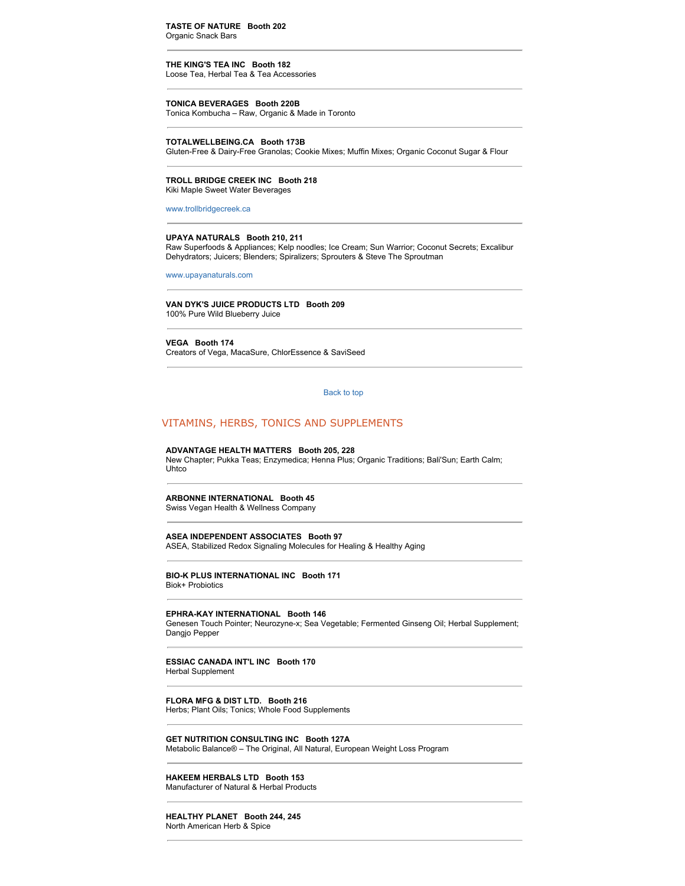#### **TASTE OF NATURE Booth 202** Organic Snack Bars

## **THE KING'S TEA INC Booth 182**

Loose Tea, Herbal Tea & Tea Accessories

#### **TONICA BEVERAGES Booth 220B**

Tonica Kombucha – Raw, Organic & Made in Toronto

#### **TOTALWELLBEING.CA Booth 173B**

Gluten-Free & Dairy-Free Granolas; Cookie Mixes; Muffin Mixes; Organic Coconut Sugar & Flour

#### **TROLL BRIDGE CREEK INC Booth 218**

Kiki Maple Sweet Water Beverages

www.trollbridgecreek.ca

#### **UPAYA NATURALS Booth 210, 211**

Raw Superfoods & Appliances; Kelp noodles; Ice Cream; Sun Warrior; Coconut Secrets; Excalibur Dehydrators; Juicers; Blenders; Spiralizers; Sprouters & Steve The Sproutman

www.upayanaturals.com

#### **VAN DYK'S JUICE PRODUCTS LTD Booth 209**

100% Pure Wild Blueberry Juice

#### **VEGA Booth 174**

Creators of Vega, MacaSure, ChlorEssence & SaviSeed

Back to top

## VITAMINS, HERBS, TONICS AND SUPPLEMENTS

#### **ADVANTAGE HEALTH MATTERS Booth 205, 228**

New Chapter; Pukka Teas; Enzymedica; Henna Plus; Organic Traditions; Bali'Sun; Earth Calm; Uhtco

#### **ARBONNE INTERNATIONAL Booth 45** Swiss Vegan Health & Wellness Company

#### **ASEA INDEPENDENT ASSOCIATES Booth 97**

ASEA, Stabilized Redox Signaling Molecules for Healing & Healthy Aging

#### **BIO-K PLUS INTERNATIONAL INC Booth 171** Biok+ Probiotics

#### **EPHRA-KAY INTERNATIONAL Booth 146**

Genesen Touch Pointer; Neurozyne-x; Sea Vegetable; Fermented Ginseng Oil; Herbal Supplement; Dangjo Pepper

#### **ESSIAC CANADA INT'L INC Booth 170** Herbal Supplement

**FLORA MFG & DIST LTD. Booth 216** Herbs; Plant Oils; Tonics; Whole Food Supplements

#### **GET NUTRITION CONSULTING INC Booth 127A** Metabolic Balance® – The Original, All Natural, European Weight Loss Program

#### **HAKEEM HERBALS LTD Booth 153** Manufacturer of Natural & Herbal Products

**HEALTHY PLANET Booth 244, 245**

North American Herb & Spice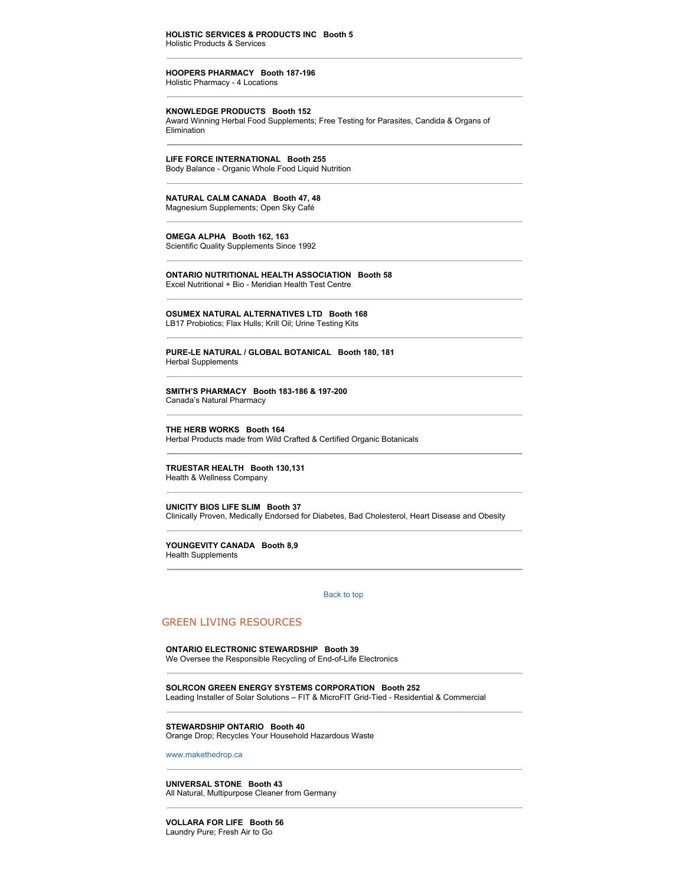#### **HOOPERS PHARMACY Booth 187-196** Holistic Pharmacy - 4 Locations

#### **KNOWLEDGE PRODUCTS Booth 152**

Award Winning Herbal Food Supplements; Free Testing for Parasites, Candida & Organs of Elimination

**LIFE FORCE INTERNATIONAL Booth 255**

Body Balance - Organic Whole Food Liquid Nutrition

#### **NATURAL CALM CANADA Booth 47, 48**

Magnesium Supplements; Open Sky Café

#### **OMEGA ALPHA Booth 162, 163**

Scientific Quality Supplements Since 1992

**ONTARIO NUTRITIONAL HEALTH ASSOCIATION Booth 58** Excel Nutritional + Bio - Meridian Health Test Centre

#### **OSUMEX NATURAL ALTERNATIVES LTD Booth 168** LB17 Probiotics; Flax Hulls; Krill Oil; Urine Testing Kits

#### **PURE-LE NATURAL / GLOBAL BOTANICAL Booth 180, 181** Herbal Supplements

**SMITH'S PHARMACY Booth 183-186 & 197-200** Canada's Natural Pharmacy

**THE HERB WORKS Booth 164** Herbal Products made from Wild Crafted & Certified Organic Botanicals

**TRUESTAR HEALTH Booth 130,131** Health & Wellness Company

**UNICITY BIOS LIFE SLIM Booth 37** Clinically Proven, Medically Endorsed for Diabetes, Bad Cholesterol, Heart Disease and Obesity

**YOUNGEVITY CANADA Booth 8,9** Health Supplements

#### Back to top

## GREEN LIVING RESOURCES

## **ONTARIO ELECTRONIC STEWARDSHIP Booth 39**

We Oversee the Responsible Recycling of End-of-Life Electronics

**SOLRCON GREEN ENERGY SYSTEMS CORPORATION Booth 252** Leading Installer of Solar Solutions – FIT & MicroFIT Grid-Tied - Residential & Commercial

#### **STEWARDSHIP ONTARIO Booth 40**

Orange Drop; Recycles Your Household Hazardous Waste

www.makethedrop.ca

#### **UNIVERSAL STONE Booth 43** All Natural, Multipurpose Cleaner from Germany

**VOLLARA FOR LIFE Booth 56** Laundry Pure; Fresh Air to Go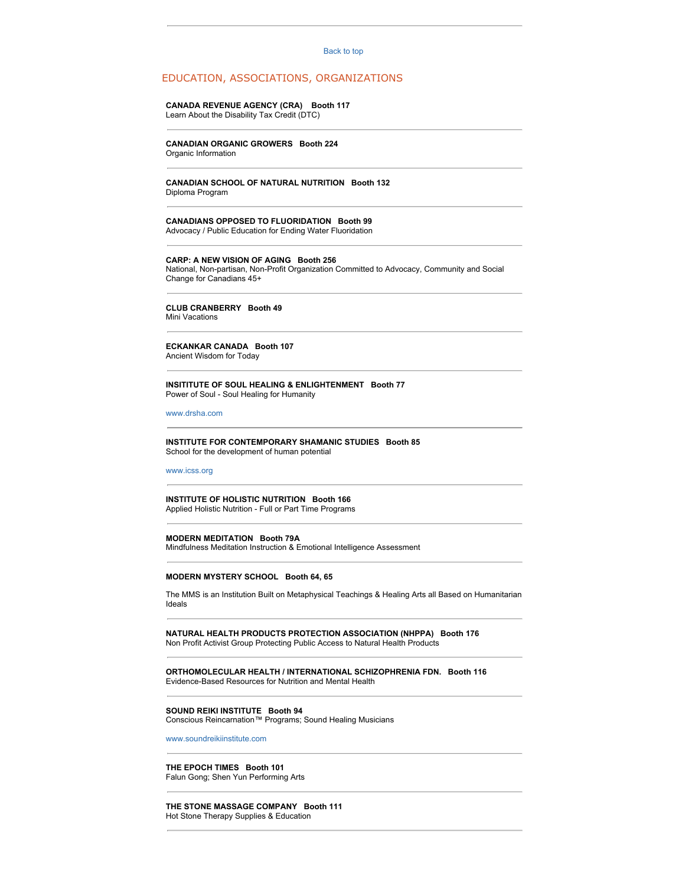#### Back to top

#### EDUCATION, ASSOCIATIONS, ORGANIZATIONS

#### **CANADA REVENUE AGENCY (CRA) Booth 117**

Learn About the Disability Tax Credit (DTC)

#### **CANADIAN ORGANIC GROWERS Booth 224**

Organic Information

#### **CANADIAN SCHOOL OF NATURAL NUTRITION Booth 132** Diploma Program

**CANADIANS OPPOSED TO FLUORIDATION Booth 99** Advocacy / Public Education for Ending Water Fluoridation

#### **CARP: A NEW VISION OF AGING Booth 256**

National, Non-partisan, Non-Profit Organization Committed to Advocacy, Community and Social Change for Canadians 45+

#### **CLUB CRANBERRY Booth 49**

Mini Vacations

#### **ECKANKAR CANADA Booth 107** Ancient Wisdom for Today

#### **INSITITUTE OF SOUL HEALING & ENLIGHTENMENT Booth 77** Power of Soul - Soul Healing for Humanity

#### www.drsha.com

#### **INSTITUTE FOR CONTEMPORARY SHAMANIC STUDIES Booth 85** School for the development of human potential

www.icss.org

#### **INSTITUTE OF HOLISTIC NUTRITION Booth 166** Applied Holistic Nutrition - Full or Part Time Programs

# **MODERN MEDITATION Booth 79A**

Mindfulness Meditation Instruction & Emotional Intelligence Assessment

#### **MODERN MYSTERY SCHOOL Booth 64, 65**

The MMS is an Institution Built on Metaphysical Teachings & Healing Arts all Based on Humanitarian Ideals

**NATURAL HEALTH PRODUCTS PROTECTION ASSOCIATION (NHPPA) Booth 176** Non Profit Activist Group Protecting Public Access to Natural Health Products

#### **ORTHOMOLECULAR HEALTH / INTERNATIONAL SCHIZOPHRENIA FDN. Booth 116** Evidence-Based Resources for Nutrition and Mental Health

#### **SOUND REIKI INSTITUTE Booth 94**

Conscious Reincarnation™ Programs; Sound Healing Musicians

## www.soundreikiinstitute.com

## **THE EPOCH TIMES Booth 101**

Falun Gong; Shen Yun Performing Arts

#### **THE STONE MASSAGE COMPANY Booth 111** Hot Stone Therapy Supplies & Education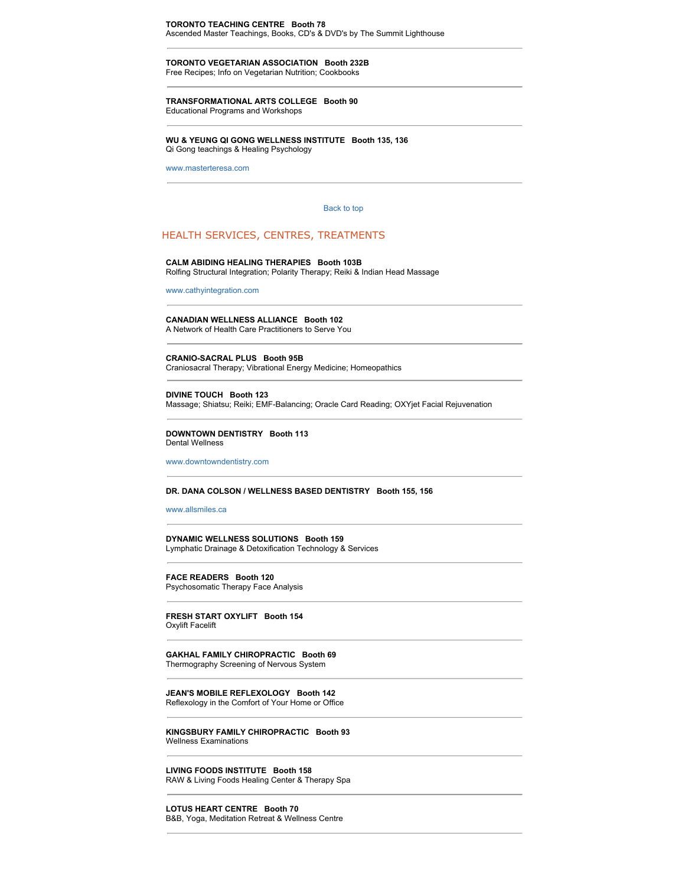### **TORONTO TEACHING CENTRE Booth 78**

Ascended Master Teachings, Books, CD's & DVD's by The Summit Lighthouse

## **TORONTO VEGETARIAN ASSOCIATION Booth 232B**

Free Recipes; Info on Vegetarian Nutrition; Cookbooks

## **TRANSFORMATIONAL ARTS COLLEGE Booth 90**

Educational Programs and Workshops

#### **WU & YEUNG QI GONG WELLNESS INSTITUTE Booth 135, 136** Qi Gong teachings & Healing Psychology

www.masterteresa.com

#### Back to top

#### HEALTH SERVICES, CENTRES, TREATMENTS

**CALM ABIDING HEALING THERAPIES Booth 103B** Rolfing Structural Integration; Polarity Therapy; Reiki & Indian Head Massage

www.cathyintegration.com

#### **CANADIAN WELLNESS ALLIANCE Booth 102** A Network of Health Care Practitioners to Serve You

**CRANIO-SACRAL PLUS Booth 95B** Craniosacral Therapy; Vibrational Energy Medicine; Homeopathics

#### **DIVINE TOUCH Booth 123**

Massage; Shiatsu; Reiki; EMF-Balancing; Oracle Card Reading; OXYjet Facial Rejuvenation

**DOWNTOWN DENTISTRY Booth 113** Dental Wellness

www.downtowndentistry.com

#### **DR. DANA COLSON / WELLNESS BASED DENTISTRY Booth 155, 156**

www.allsmiles.ca

**DYNAMIC WELLNESS SOLUTIONS Booth 159** Lymphatic Drainage & Detoxification Technology & Services

**FACE READERS Booth 120** Psychosomatic Therapy Face Analysis

**FRESH START OXYLIFT Booth 154** Oxylift Facelift

#### **GAKHAL FAMILY CHIROPRACTIC Booth 69** Thermography Screening of Nervous System

**JEAN'S MOBILE REFLEXOLOGY Booth 142** Reflexology in the Comfort of Your Home or Office

**KINGSBURY FAMILY CHIROPRACTIC Booth 93** Wellness Examinations

**LIVING FOODS INSTITUTE Booth 158** RAW & Living Foods Healing Center & Therapy Spa

#### **LOTUS HEART CENTRE Booth 70**

B&B, Yoga, Meditation Retreat & Wellness Centre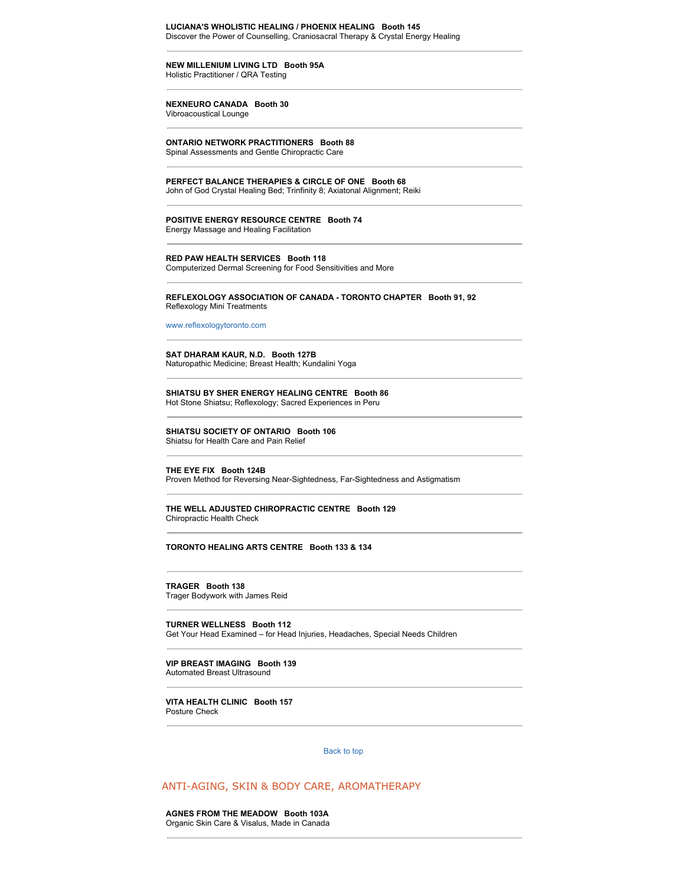## **LUCIANA'S WHOLISTIC HEALING / PHOENIX HEALING Booth 145**

Discover the Power of Counselling, Craniosacral Therapy & Crystal Energy Healing

**NEW MILLENIUM LIVING LTD Booth 95A** Holistic Practitioner / QRA Testing

## **NEXNEURO CANADA Booth 30**

Vibroacoustical Lounge

#### **ONTARIO NETWORK PRACTITIONERS Booth 88**

Spinal Assessments and Gentle Chiropractic Care

## **PERFECT BALANCE THERAPIES & CIRCLE OF ONE Booth 68**

John of God Crystal Healing Bed; Trinfinity 8; Axiatonal Alignment; Reiki

**POSITIVE ENERGY RESOURCE CENTRE Booth 74** Energy Massage and Healing Facilitation

#### **RED PAW HEALTH SERVICES Booth 118**

Computerized Dermal Screening for Food Sensitivities and More

#### **REFLEXOLOGY ASSOCIATION OF CANADA - TORONTO CHAPTER Booth 91, 92** Reflexology Mini Treatments

www.reflexologytoronto.com

**SAT DHARAM KAUR, N.D. Booth 127B** Naturopathic Medicine; Breast Health; Kundalini Yoga

**SHIATSU BY SHER ENERGY HEALING CENTRE Booth 86** Hot Stone Shiatsu; Reflexology; Sacred Experiences in Peru

**SHIATSU SOCIETY OF ONTARIO Booth 106** Shiatsu for Health Care and Pain Relief

**THE EYE FIX Booth 124B** Proven Method for Reversing Near-Sightedness, Far-Sightedness and Astigmatism

**THE WELL ADJUSTED CHIROPRACTIC CENTRE Booth 129** Chiropractic Health Check

**TORONTO HEALING ARTS CENTRE Booth 133 & 134**

**TRAGER Booth 138** Trager Bodywork with James Reid

**TURNER WELLNESS Booth 112** Get Your Head Examined – for Head Injuries, Headaches, Special Needs Children

**VIP BREAST IMAGING Booth 139** Automated Breast Ultrasound

**VITA HEALTH CLINIC Booth 157** Posture Check

Back to top

## ANTI-AGING, SKIN & BODY CARE, AROMATHERAPY

**AGNES FROM THE MEADOW Booth 103A**

Organic Skin Care & Visalus, Made in Canada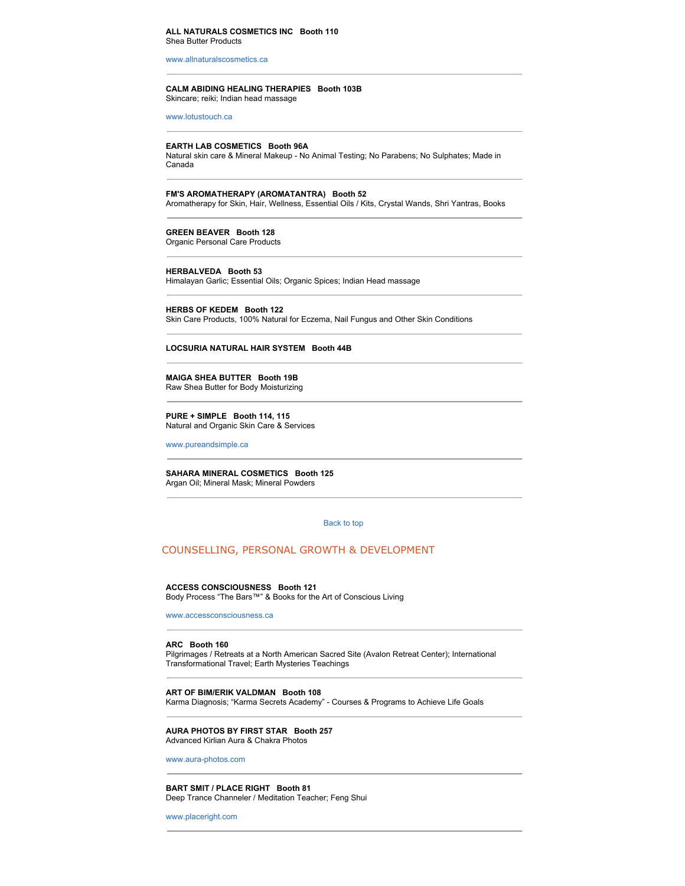#### **ALL NATURALS COSMETICS INC Booth 110** Shea Butter Products

www.allnaturalscosmetics.ca

#### **CALM ABIDING HEALING THERAPIES Booth 103B** Skincare; reiki; Indian head massage

www.lotustouch.ca

#### **EARTH LAB COSMETICS Booth 96A**

Natural skin care & Mineral Makeup - No Animal Testing; No Parabens; No Sulphates; Made in Canada

**FM'S AROMATHERAPY (AROMATANTRA) Booth 52** Aromatherapy for Skin, Hair, Wellness, Essential Oils / Kits, Crystal Wands, Shri Yantras, Books

#### **GREEN BEAVER Booth 128**

Organic Personal Care Products

**HERBALVEDA Booth 53**

Himalayan Garlic; Essential Oils; Organic Spices; Indian Head massage

#### **HERBS OF KEDEM Booth 122**

Skin Care Products, 100% Natural for Eczema, Nail Fungus and Other Skin Conditions

**LOCSURIA NATURAL HAIR SYSTEM Booth 44B**

**MAIGA SHEA BUTTER Booth 19B** Raw Shea Butter for Body Moisturizing

#### **PURE + SIMPLE Booth 114, 115**

Natural and Organic Skin Care & Services

www.pureandsimple.ca

## **SAHARA MINERAL COSMETICS Booth 125**

Argan Oil; Mineral Mask; Mineral Powders

#### Back to top

#### COUNSELLING, PERSONAL GROWTH & DEVELOPMENT

#### **ACCESS CONSCIOUSNESS Booth 121**

Body Process "The Bars™" & Books for the Art of Conscious Living

www.accessconsciousness.ca

#### **ARC Booth 160**

Pilgrimages / Retreats at a North American Sacred Site (Avalon Retreat Center); International Transformational Travel; Earth Mysteries Teachings

**ART OF BIM/ERIK VALDMAN Booth 108**

Karma Diagnosis; "Karma Secrets Academy" - Courses & Programs to Achieve Life Goals

#### **AURA PHOTOS BY FIRST STAR Booth 257** Advanced Kirlian Aura & Chakra Photos

www.aura-photos.com

#### **BART SMIT / PLACE RIGHT Booth 81** Deep Trance Channeler / Meditation Teacher; Feng Shui

www.placeright.com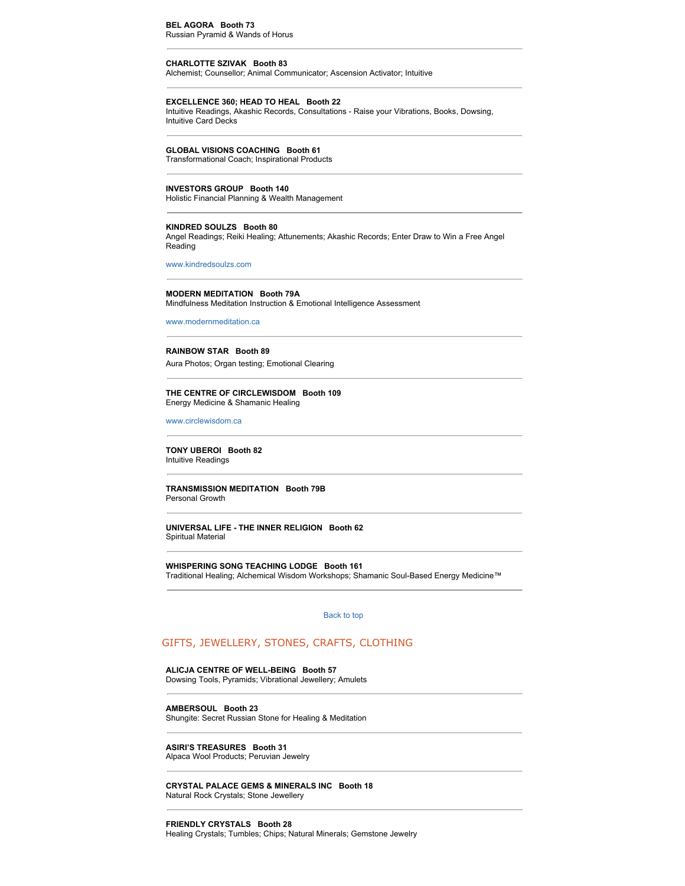## **BEL AGORA Booth 73**

Russian Pyramid & Wands of Horus

#### **CHARLOTTE SZIVAK Booth 83**

Alchemist; Counsellor; Animal Communicator; Ascension Activator; Intuitive

#### **EXCELLENCE 360; HEAD TO HEAL Booth 22**

Intuitive Readings, Akashic Records, Consultations - Raise your Vibrations, Books, Dowsing, Intuitive Card Decks

#### **GLOBAL VISIONS COACHING Booth 61**

Transformational Coach; Inspirational Products

## **INVESTORS GROUP Booth 140**

Holistic Financial Planning & Wealth Management

# **KINDRED SOULZS Booth 80**

Angel Readings; Reiki Healing; Attunements; Akashic Records; Enter Draw to Win a Free Angel Reading

www.kindredsoulzs.com

#### **MODERN MEDITATION Booth 79A** Mindfulness Meditation Instruction & Emotional Intelligence Assessment

www.modernmeditation.ca

#### **RAINBOW STAR Booth 89**

Aura Photos; Organ testing; Emotional Clearing

#### **THE CENTRE OF CIRCLEWISDOM Booth 109** Energy Medicine & Shamanic Healing

www.circlewisdom.ca

#### **TONY UBEROI Booth 82** Intuitive Readings

#### **TRANSMISSION MEDITATION Booth 79B** Personal Growth

#### **UNIVERSAL LIFE - THE INNER RELIGION Booth 62** Spiritual Material

#### **WHISPERING SONG TEACHING LODGE Booth 161**

Traditional Healing; Alchemical Wisdom Workshops; Shamanic Soul-Based Energy Medicine™

#### Back to top

## GIFTS, JEWELLERY, STONES, CRAFTS, CLOTHING

#### **ALICJA CENTRE OF WELL-BEING Booth 57** Dowsing Tools, Pyramids; Vibrational Jewellery; Amulets

**AMBERSOUL Booth 23** Shungite: Secret Russian Stone for Healing & Meditation

#### **ASIRI'S TREASURES Booth 31**

Alpaca Wool Products; Peruvian Jewelry

#### **CRYSTAL PALACE GEMS & MINERALS INC Booth 18** Natural Rock Crystals; Stone Jewellery

#### **FRIENDLY CRYSTALS Booth 28**

Healing Crystals; Tumbles; Chips; Natural Minerals; Gemstone Jewelry